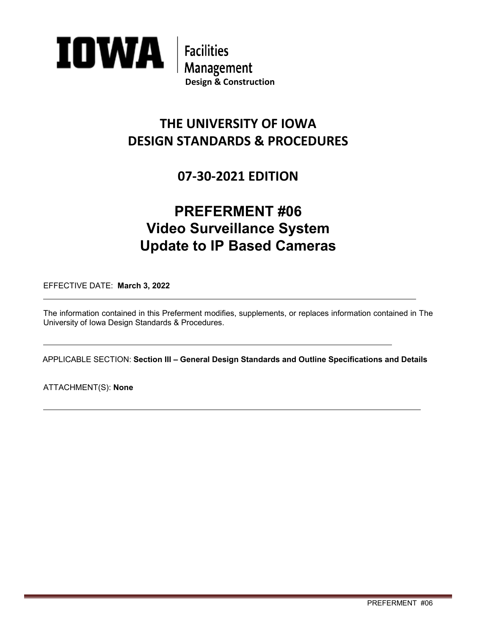

**Management**<br>Design & Construction

## **THE UNIVERSITY OF IOWA DESIGN STANDARDS & PROCEDURES**

### **07-30-2021 EDITION**

# **PREFERMENT #06 Video Surveillance System Update to IP Based Cameras**

EFFECTIVE DATE: **March 3, 2022**

The information contained in this Preferment modifies, supplements, or replaces information contained in The University of Iowa Design Standards & Procedures.

APPLICABLE SECTION: **Section III – General Design Standards and Outline Specifications and Details** 

ATTACHMENT(S): **None**

 $\overline{a}$ 

 $\overline{a}$ 

 $\overline{a}$